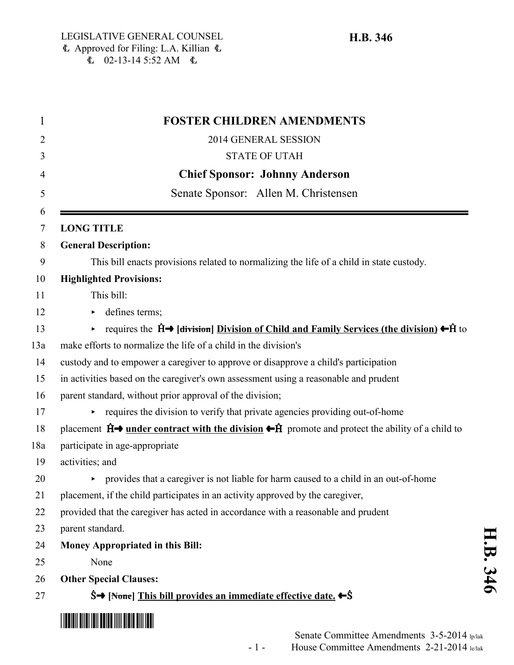| <b>FOSTER CHILDREN AMENDMENTS</b>                                                                                                  |
|------------------------------------------------------------------------------------------------------------------------------------|
| 2014 GENERAL SESSION                                                                                                               |
| <b>STATE OF UTAH</b>                                                                                                               |
| <b>Chief Sponsor: Johnny Anderson</b>                                                                                              |
| Senate Sponsor: Allen M. Christensen                                                                                               |
| <b>LONG TITLE</b>                                                                                                                  |
| <b>General Description:</b>                                                                                                        |
| This bill enacts provisions related to normalizing the life of a child in state custody.                                           |
| <b>Highlighted Provisions:</b>                                                                                                     |
| This bill:                                                                                                                         |
| defines terms;                                                                                                                     |
| requires the $\hat{H} \rightarrow$ [division] Division of Child and Family Services (the division) $\leftarrow \hat{H}$ to<br>▶    |
| make efforts to normalize the life of a child in the division's                                                                    |
| custody and to empower a caregiver to approve or disapprove a child's participation                                                |
| in activities based on the caregiver's own assessment using a reasonable and prudent                                               |
| parent standard, without prior approval of the division;                                                                           |
| requires the division to verify that private agencies providing out-of-home                                                        |
| placement $\hat{H}$ and <u>under contract with the division</u> $\leftarrow \hat{H}$ promote and protect the ability of a child to |
| participate in age-appropriate                                                                                                     |
| activities; and                                                                                                                    |
| provides that a caregiver is not liable for harm caused to a child in an out-of-home                                               |
| placement, if the child participates in an activity approved by the caregiver,                                                     |
| provided that the caregiver has acted in accordance with a reasonable and prudent                                                  |
| parent standard.                                                                                                                   |
| Money Appropriated in this Bill:                                                                                                   |
| None                                                                                                                               |
| <b>Other Special Clauses:</b>                                                                                                      |
| $\hat{S}$ [None] This bill provides an immediate effective date. $\leftarrow \hat{S}$                                              |
|                                                                                                                                    |

**H.B. 346**

H.B. 346